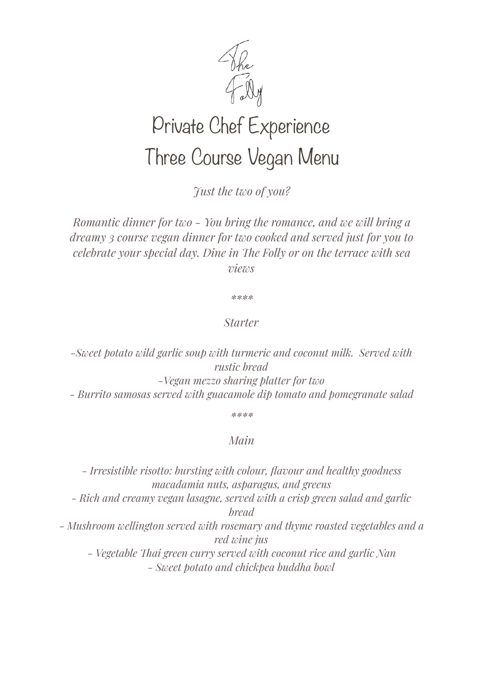

## Private Chef Experience Three Course Vegan Menu

*Just the two of you?* 

*Romantic dinner for two - You bring the romance, and we will bring a dreamy 3 course vegan dinner for two cooked and served just for you to celebrate your special day. Dine in Te Folly or on the terrace with sea views* 

*\*\*\*\** 

## *Starter*

*-Sweet potato wild garlic soup with turmeric and coconut milk. Served with rustic bread -Vegan mezzo sharing platter for two - Burrito samosas served with guacamole dip tomato and pomegranate salad* 

*\*\*\*\** 

## *Main*

*- Irresistible risotto: bursting with colour, flavour and healthy goodness macadamia nuts, asparagus, and greens - Rich and creamy vegan lasagne, served with a crisp green salad and garlic bread - Mushroom wellington served with rosemary and thyme roasted vegetables and a red wine jus - Vegetable Tai green curry served with coconut rice and garlic Nan - Sweet potato and chickpea buddha bowl*